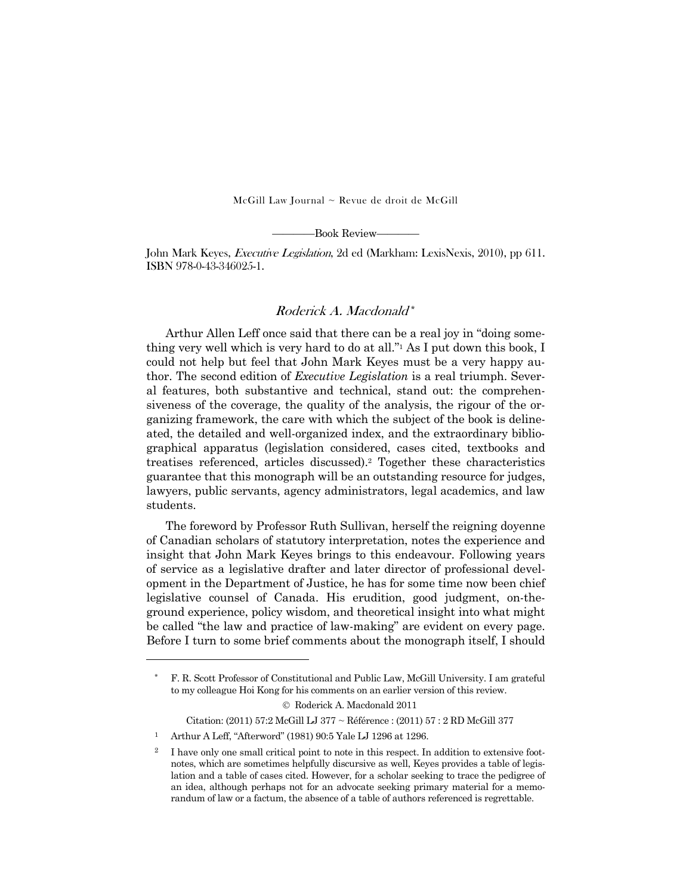$McGill Law Journal ~ Revue de droit de McGill$ 

————Book Review————

John Mark Keyes, Executive Legislation, 2d ed (Markham: LexisNexis, 2010), pp 611. ISBN 978-0-43-346025-1.

## Roderick A. Macdonald \*

 Arthur Allen Leff once said that there can be a real joy in "doing something very well which is very hard to do at all."1 As I put down this book, I could not help but feel that John Mark Keyes must be a very happy author. The second edition of *Executive Legislation* is a real triumph. Several features, both substantive and technical, stand out: the comprehensiveness of the coverage, the quality of the analysis, the rigour of the organizing framework, the care with which the subject of the book is delineated, the detailed and well-organized index, and the extraordinary bibliographical apparatus (legislation considered, cases cited, textbooks and treatises referenced, articles discussed).2 Together these characteristics guarantee that this monograph will be an outstanding resource for judges, lawyers, public servants, agency administrators, legal academics, and law students.

 The foreword by Professor Ruth Sullivan, herself the reigning doyenne of Canadian scholars of statutory interpretation, notes the experience and insight that John Mark Keyes brings to this endeavour. Following years of service as a legislative drafter and later director of professional development in the Department of Justice, he has for some time now been chief legislative counsel of Canada. His erudition, good judgment, on-theground experience, policy wisdom, and theoretical insight into what might be called "the law and practice of law-making" are evident on every page. Before I turn to some brief comments about the monograph itself, I should

Citation: (2011) 57:2 McGill LJ 377 ~ Référence : (2011) 57 : 2 RD McGill 377

<sup>\*</sup> F. R. Scott Professor of Constitutional and Public Law, McGill University. I am grateful to my colleague Hoi Kong for his comments on an earlier version of this review.

<sup>©</sup> Roderick A. Macdonald 2011

<sup>1</sup> Arthur A Leff, "Afterword" (1981) 90:5 Yale LJ 1296 at 1296.

<sup>&</sup>lt;sup>2</sup> I have only one small critical point to note in this respect. In addition to extensive footnotes, which are sometimes helpfully discursive as well, Keyes provides a table of legislation and a table of cases cited. However, for a scholar seeking to trace the pedigree of an idea, although perhaps not for an advocate seeking primary material for a memorandum of law or a factum, the absence of a table of authors referenced is regrettable.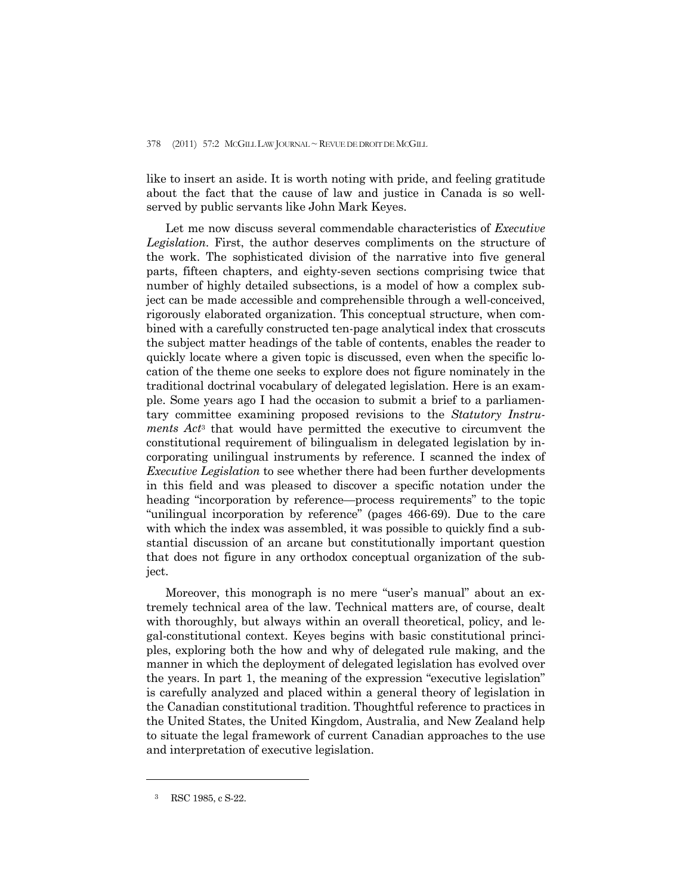## 378 (2011) 57:2 MCGILL LAW JOURNAL ~ REVUE DE DROIT DE MCGILL

like to insert an aside. It is worth noting with pride, and feeling gratitude about the fact that the cause of law and justice in Canada is so wellserved by public servants like John Mark Keyes.

 Let me now discuss several commendable characteristics of *Executive Legislation*. First, the author deserves compliments on the structure of the work. The sophisticated division of the narrative into five general parts, fifteen chapters, and eighty-seven sections comprising twice that number of highly detailed subsections, is a model of how a complex subject can be made accessible and comprehensible through a well-conceived, rigorously elaborated organization. This conceptual structure, when combined with a carefully constructed ten-page analytical index that crosscuts the subject matter headings of the table of contents, enables the reader to quickly locate where a given topic is discussed, even when the specific location of the theme one seeks to explore does not figure nominately in the traditional doctrinal vocabulary of delegated legislation. Here is an example. Some years ago I had the occasion to submit a brief to a parliamentary committee examining proposed revisions to the *Statutory Instruments Act*3 that would have permitted the executive to circumvent the constitutional requirement of bilingualism in delegated legislation by incorporating unilingual instruments by reference. I scanned the index of *Executive Legislation* to see whether there had been further developments in this field and was pleased to discover a specific notation under the heading "incorporation by reference—process requirements" to the topic "unilingual incorporation by reference" (pages 466-69). Due to the care with which the index was assembled, it was possible to quickly find a substantial discussion of an arcane but constitutionally important question that does not figure in any orthodox conceptual organization of the subject.

 Moreover, this monograph is no mere "user's manual" about an extremely technical area of the law. Technical matters are, of course, dealt with thoroughly, but always within an overall theoretical, policy, and legal-constitutional context. Keyes begins with basic constitutional principles, exploring both the how and why of delegated rule making, and the manner in which the deployment of delegated legislation has evolved over the years. In part 1, the meaning of the expression "executive legislation" is carefully analyzed and placed within a general theory of legislation in the Canadian constitutional tradition. Thoughtful reference to practices in the United States, the United Kingdom, Australia, and New Zealand help to situate the legal framework of current Canadian approaches to the use and interpretation of executive legislation.

<sup>3</sup> RSC 1985, c S-22.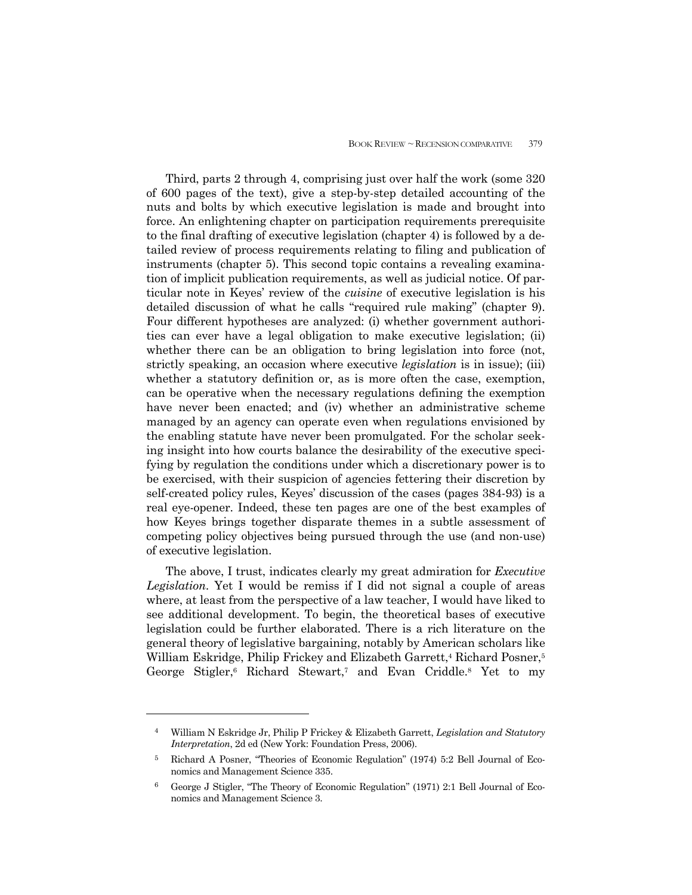Third, parts 2 through 4, comprising just over half the work (some 320 of 600 pages of the text), give a step-by-step detailed accounting of the nuts and bolts by which executive legislation is made and brought into force. An enlightening chapter on participation requirements prerequisite to the final drafting of executive legislation (chapter 4) is followed by a detailed review of process requirements relating to filing and publication of instruments (chapter 5). This second topic contains a revealing examination of implicit publication requirements, as well as judicial notice. Of particular note in Keyes' review of the *cuisine* of executive legislation is his detailed discussion of what he calls "required rule making" (chapter 9). Four different hypotheses are analyzed: (i) whether government authorities can ever have a legal obligation to make executive legislation; (ii) whether there can be an obligation to bring legislation into force (not, strictly speaking, an occasion where executive *legislation* is in issue); (iii) whether a statutory definition or, as is more often the case, exemption, can be operative when the necessary regulations defining the exemption have never been enacted; and (iv) whether an administrative scheme managed by an agency can operate even when regulations envisioned by the enabling statute have never been promulgated. For the scholar seeking insight into how courts balance the desirability of the executive specifying by regulation the conditions under which a discretionary power is to be exercised, with their suspicion of agencies fettering their discretion by self-created policy rules, Keyes' discussion of the cases (pages 384-93) is a real eye-opener. Indeed, these ten pages are one of the best examples of how Keyes brings together disparate themes in a subtle assessment of competing policy objectives being pursued through the use (and non-use) of executive legislation.

 The above, I trust, indicates clearly my great admiration for *Executive Legislation*. Yet I would be remiss if I did not signal a couple of areas where, at least from the perspective of a law teacher, I would have liked to see additional development. To begin, the theoretical bases of executive legislation could be further elaborated. There is a rich literature on the general theory of legislative bargaining, notably by American scholars like William Eskridge, Philip Frickey and Elizabeth Garrett,<sup>4</sup> Richard Posner,<sup>5</sup> George Stigler,<sup>6</sup> Richard Stewart,<sup>7</sup> and Evan Criddle.<sup>8</sup> Yet to my

<sup>4</sup> William N Eskridge Jr, Philip P Frickey & Elizabeth Garrett, *Legislation and Statutory Interpretation*, 2d ed (New York: Foundation Press, 2006).

<sup>5</sup> Richard A Posner, "Theories of Economic Regulation" (1974) 5:2 Bell Journal of Economics and Management Science 335.

<sup>6</sup> George J Stigler, "The Theory of Economic Regulation" (1971) 2:1 Bell Journal of Economics and Management Science 3.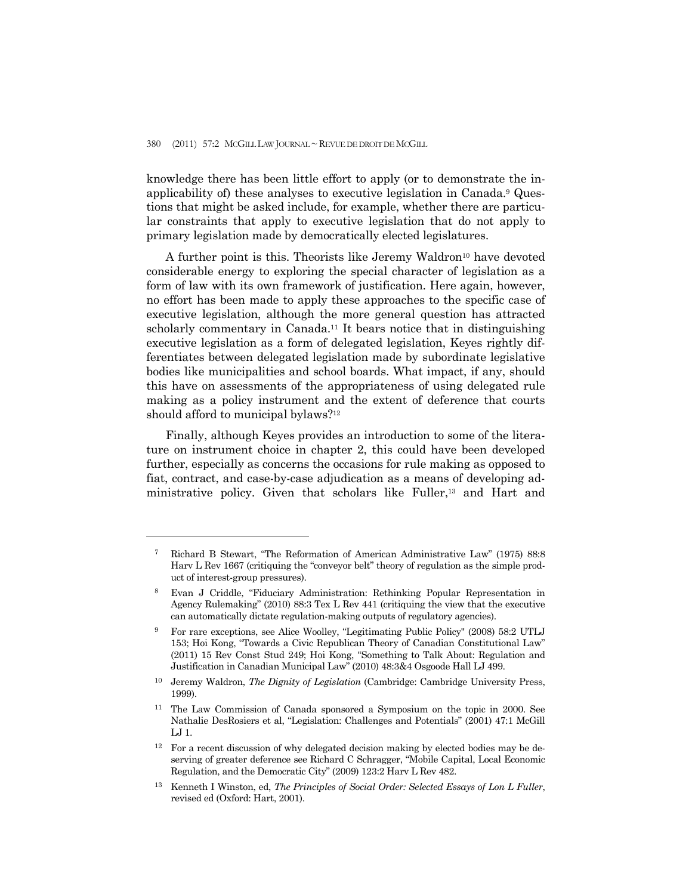380 (2011) 57:2 MCGILL LAW JOURNAL ~ REVUE DE DROIT DE MCGILL

knowledge there has been little effort to apply (or to demonstrate the inapplicability of) these analyses to executive legislation in Canada.9 Questions that might be asked include, for example, whether there are particular constraints that apply to executive legislation that do not apply to primary legislation made by democratically elected legislatures.

A further point is this. Theorists like Jeremy Waldron<sup>10</sup> have devoted considerable energy to exploring the special character of legislation as a form of law with its own framework of justification. Here again, however, no effort has been made to apply these approaches to the specific case of executive legislation, although the more general question has attracted scholarly commentary in Canada.11 It bears notice that in distinguishing executive legislation as a form of delegated legislation, Keyes rightly differentiates between delegated legislation made by subordinate legislative bodies like municipalities and school boards. What impact, if any, should this have on assessments of the appropriateness of using delegated rule making as a policy instrument and the extent of deference that courts should afford to municipal bylaws?12

 Finally, although Keyes provides an introduction to some of the literature on instrument choice in chapter 2, this could have been developed further, especially as concerns the occasions for rule making as opposed to fiat, contract, and case-by-case adjudication as a means of developing administrative policy. Given that scholars like Fuller,13 and Hart and

 $\overline{a}$ 

<sup>7</sup> Richard B Stewart, "The Reformation of American Administrative Law" (1975) 88:8 Harv L Rev 1667 (critiquing the "conveyor belt" theory of regulation as the simple product of interest-group pressures).

<sup>8</sup> Evan J Criddle, "Fiduciary Administration: Rethinking Popular Representation in Agency Rulemaking" (2010) 88:3 Tex L Rev 441 (critiquing the view that the executive can automatically dictate regulation-making outputs of regulatory agencies).

<sup>&</sup>lt;sup>9</sup> For rare exceptions, see Alice Woolley, "Legitimating Public Policy" (2008) 58:2 UTLJ 153; Hoi Kong, "Towards a Civic Republican Theory of Canadian Constitutional Law" (2011) 15 Rev Const Stud 249; Hoi Kong, "Something to Talk About: Regulation and Justification in Canadian Municipal Law" (2010) 48:3&4 Osgoode Hall LJ 499.

<sup>10</sup> Jeremy Waldron, *The Dignity of Legislation* (Cambridge: Cambridge University Press, 1999).

<sup>11</sup> The Law Commission of Canada sponsored a Symposium on the topic in 2000. See Nathalie DesRosiers et al, "Legislation: Challenges and Potentials" (2001) 47:1 McGill LJ 1.

<sup>&</sup>lt;sup>12</sup> For a recent discussion of why delegated decision making by elected bodies may be deserving of greater deference see Richard C Schragger, "Mobile Capital, Local Economic Regulation, and the Democratic City" (2009) 123:2 Harv L Rev 482.

<sup>13</sup> Kenneth I Winston, ed, *The Principles of Social Order: Selected Essays of Lon L Fuller*, revised ed (Oxford: Hart, 2001).